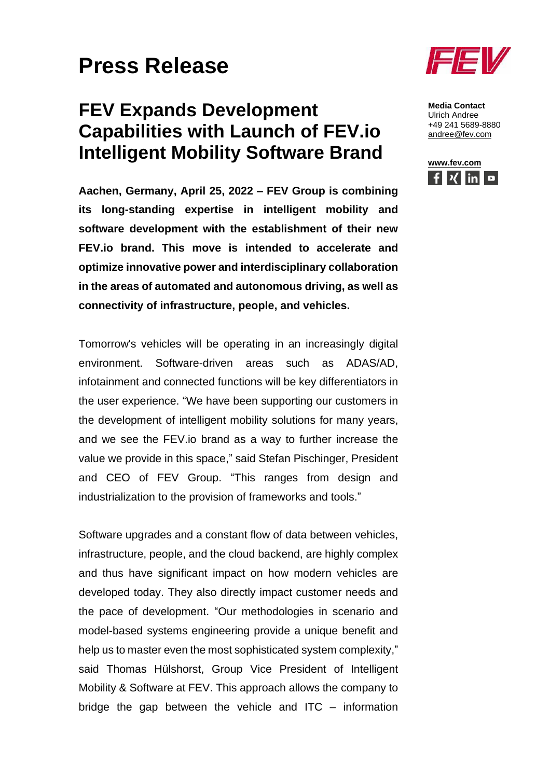## **Press Release**

## **FEV Expands Development Capabilities with Launch of FEV.io Intelligent Mobility Software Brand**

**Aachen, Germany, April 25, 2022 – FEV Group is combining its long-standing expertise in intelligent mobility and software development with the establishment of their new FEV.io brand. This move is intended to accelerate and optimize innovative power and interdisciplinary collaboration in the areas of automated and autonomous driving, as well as connectivity of infrastructure, people, and vehicles.**

Tomorrow's vehicles will be operating in an increasingly digital environment. Software-driven areas such as ADAS/AD, infotainment and connected functions will be key differentiators in the user experience. "We have been supporting our customers in the development of intelligent mobility solutions for many years, and we see the FEV.io brand as a way to further increase the value we provide in this space," said Stefan Pischinger, President and CEO of FEV Group. "This ranges from design and industrialization to the provision of frameworks and tools."

Software upgrades and a constant flow of data between vehicles, infrastructure, people, and the cloud backend, are highly complex and thus have significant impact on how modern vehicles are developed today. They also directly impact customer needs and the pace of development. "Our methodologies in scenario and model-based systems engineering provide a unique benefit and help us to master even the most sophisticated system complexity," said Thomas Hülshorst, Group Vice President of Intelligent Mobility & Software at FEV. This approach allows the company to bridge the gap between the vehicle and ITC – information



**Media Contact** Ulrich Andree +49 241 5689-8880 [andree@fev.com](mailto:andree@fev.com)

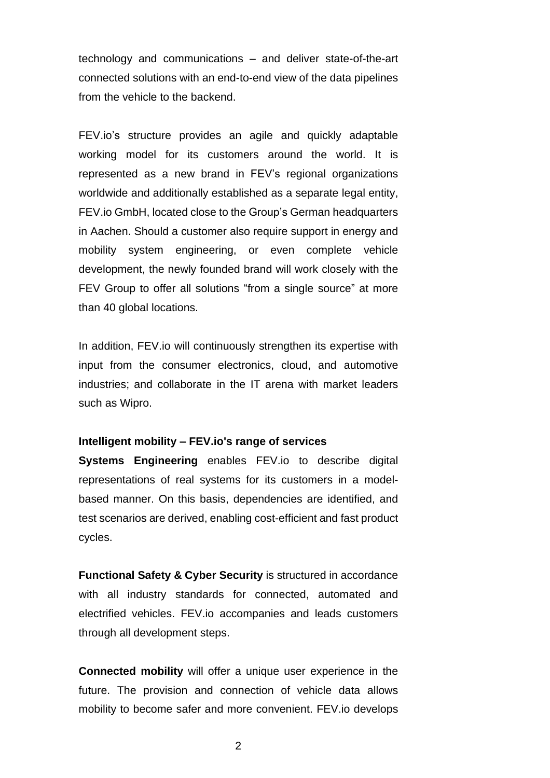technology and communications – and deliver state-of-the-art connected solutions with an end-to-end view of the data pipelines from the vehicle to the backend.

FEV.io's structure provides an agile and quickly adaptable working model for its customers around the world. It is represented as a new brand in FEV's regional organizations worldwide and additionally established as a separate legal entity, FEV.io GmbH, located close to the Group's German headquarters in Aachen. Should a customer also require support in energy and mobility system engineering, or even complete vehicle development, the newly founded brand will work closely with the FEV Group to offer all solutions "from a single source" at more than 40 global locations.

In addition, FEV.io will continuously strengthen its expertise with input from the consumer electronics, cloud, and automotive industries; and collaborate in the IT arena with market leaders such as Wipro.

## **Intelligent mobility – FEV.io's range of services**

**Systems Engineering** enables FEV.io to describe digital representations of real systems for its customers in a modelbased manner. On this basis, dependencies are identified, and test scenarios are derived, enabling cost-efficient and fast product cycles.

**Functional Safety & Cyber Security** is structured in accordance with all industry standards for connected, automated and electrified vehicles. FEV.io accompanies and leads customers through all development steps.

**Connected mobility** will offer a unique user experience in the future. The provision and connection of vehicle data allows mobility to become safer and more convenient. FEV.io develops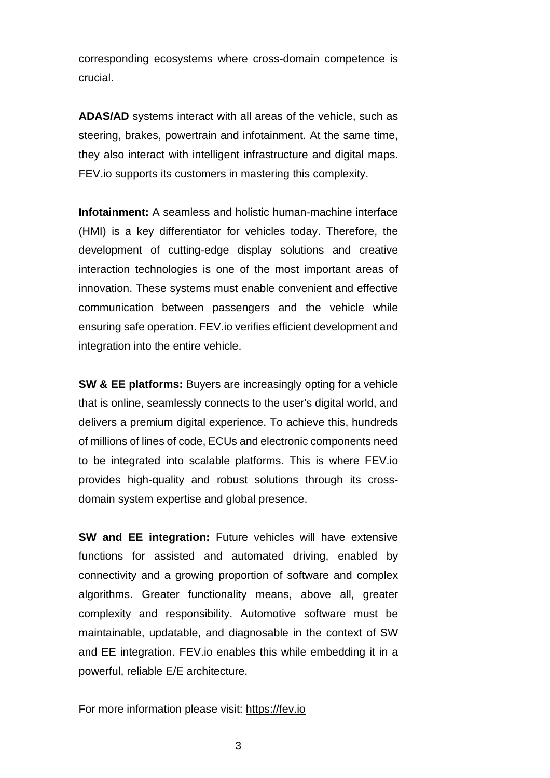corresponding ecosystems where cross-domain competence is crucial.

**ADAS/AD** systems interact with all areas of the vehicle, such as steering, brakes, powertrain and infotainment. At the same time, they also interact with intelligent infrastructure and digital maps. FEV.io supports its customers in mastering this complexity.

**Infotainment:** A seamless and holistic human-machine interface (HMI) is a key differentiator for vehicles today. Therefore, the development of cutting-edge display solutions and creative interaction technologies is one of the most important areas of innovation. These systems must enable convenient and effective communication between passengers and the vehicle while ensuring safe operation. FEV.io verifies efficient development and integration into the entire vehicle.

**SW & EE platforms:** Buyers are increasingly opting for a vehicle that is online, seamlessly connects to the user's digital world, and delivers a premium digital experience. To achieve this, hundreds of millions of lines of code, ECUs and electronic components need to be integrated into scalable platforms. This is where FEV.io provides high-quality and robust solutions through its crossdomain system expertise and global presence.

**SW and EE integration:** Future vehicles will have extensive functions for assisted and automated driving, enabled by connectivity and a growing proportion of software and complex algorithms. Greater functionality means, above all, greater complexity and responsibility. Automotive software must be maintainable, updatable, and diagnosable in the context of SW and EE integration. FEV.io enables this while embedding it in a powerful, reliable E/E architecture.

For more information please visit: [https://fev.io](https://fev.io/)